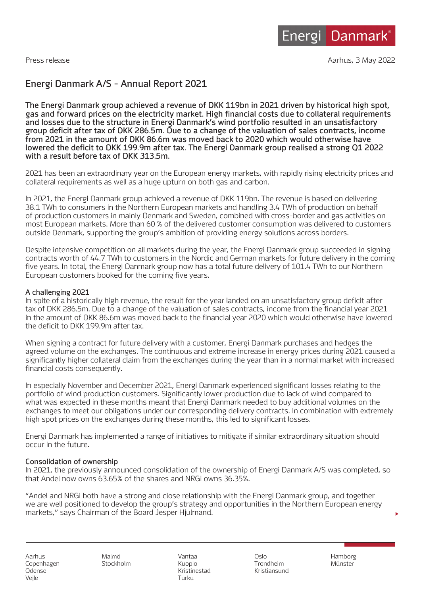Press release Aarhus, 3 May 2022 Press release

# **Energi Danmark A/S - Annual Report 2021**

**The Energi Danmark group achieved a revenue of DKK 119bn in 2021 driven by historical high spot, gas and forward prices on the electricity market. High financial costs due to collateral requirements and losses due to the structure in Energi Danmark's wind portfolio resulted in an unsatisfactory group deficit after tax of DKK 286.5m. Due to a change of the valuation of sales contracts, income from 2021 in the amount of DKK 86.6m was moved back to 2020 which would otherwise have lowered the deficit to DKK 199.9m after tax. The Energi Danmark group realised a strong Q1 2022 with a result before tax of DKK 313.5m.**

2021 has been an extraordinary year on the European energy markets, with rapidly rising electricity prices and collateral requirements as well as a huge upturn on both gas and carbon.

In 2021, the Energi Danmark group achieved a revenue of DKK 119bn. The revenue is based on delivering 38.1 TWh to consumers in the Northern European markets and handling 3.4 TWh of production on behalf of production customers in mainly Denmark and Sweden, combined with cross-border and gas activities on most European markets. More than 60 % of the delivered customer consumption was delivered to customers outside Denmark, supporting the group's ambition of providing energy solutions across borders.

Despite intensive competition on all markets during the year, the Energi Danmark group succeeded in signing contracts worth of 44.7 TWh to customers in the Nordic and German markets for future delivery in the coming five years. In total, the Energi Danmark group now has a total future delivery of 101.4 TWh to our Northern European customers booked for the coming five years.

## **A challenging 2021**

In spite of a historically high revenue, the result for the year landed on an unsatisfactory group deficit after tax of DKK 286.5m. Due to a change of the valuation of sales contracts, income from the financial year 2021 in the amount of DKK 86.6m was moved back to the financial year 2020 which would otherwise have lowered the deficit to DKK 199.9m after tax.

When signing a contract for future delivery with a customer, Energi Danmark purchases and hedges the agreed volume on the exchanges. The continuous and extreme increase in energy prices during 2021 caused a significantly higher collateral claim from the exchanges during the year than in a normal market with increased financial costs consequently.

In especially November and December 2021, Energi Danmark experienced significant losses relating to the portfolio of wind production customers. Significantly lower production due to lack of wind compared to what was expected in these months meant that Energi Danmark needed to buy additional volumes on the exchanges to meet our obligations under our corresponding delivery contracts. In combination with extremely high spot prices on the exchanges during these months, this led to significant losses.

Energi Danmark has implemented a range of initiatives to mitigate if similar extraordinary situation should occur in the future.

## **Consolidation of ownership**

In 2021, the previously announced consolidation of the ownership of Energi Danmark A/S was completed, so that Andel now owns 63.65% of the shares and NRGi owns 36.35%.

"Andel and NRGi both have a strong and close relationship with the Energi Danmark group, and together we are well positioned to develop the group's strategy and opportunities in the Northern European energy markets," says Chairman of the Board Jesper Hjulmand.

Aarhus Malmö Vantaa Oslo Hamborg Vejle **Turku** 

Copenhagen Stockholm Kuopio Trondheim Münster Odense Kristinestad Kristiansund